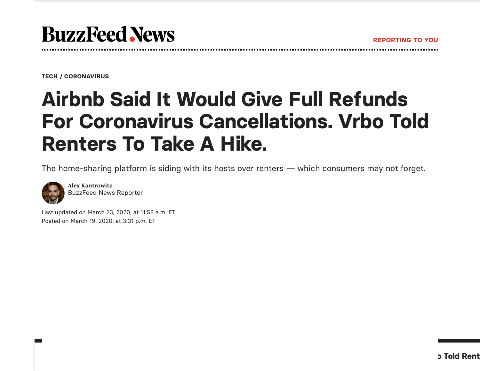[TECH](https://www.buzzfeednews.com/section/tech) / [CORONAVIRUS](https://www.buzzfeednews.com/collection/coronavirus)

## Airbnb Said It Would Give Full Refunds For Coronavirus Cancellations. Vrbo Told Renters To Take A Hike.

The home-sharing platform is siding with its hosts over renters — which consumers may not forget.



**Contract** 

**Alex Kantrowitz** [BuzzFeed](https://www.buzzfeednews.com/author/alexkantrowitz) News Reporter

Last updated on March 23, 2020, at 11:58 a.m. ET Posted on March 19, 2020, at 3:31 p.m. ET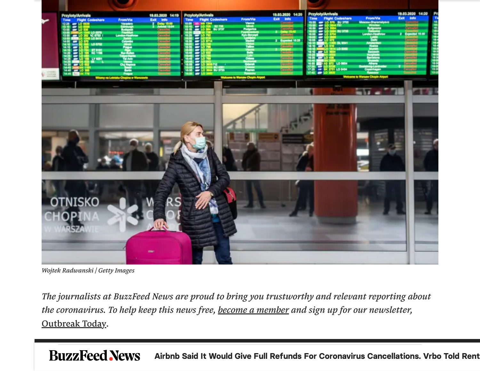

*Wojtek Radwanski / Getty Images*

*The journalists at BuzzFeed News are proud to bring you trustworthy and relevant reporting about the coronavirus. To help keep this news free, [become a](https://slack-redir.net/link?url=https%3A%2F%2Fsupport.buzzfeednews.com%2F) member and sign up for our newsletter,* [Outbreak](https://www.buzzfeed.com/newsletters/coronavirus?utm_source=newsletter) Today.

**BuzzFeed News** Airbnb Said It Would Give Full Refunds For Coronavirus Cancellations. Vrbo Told Rent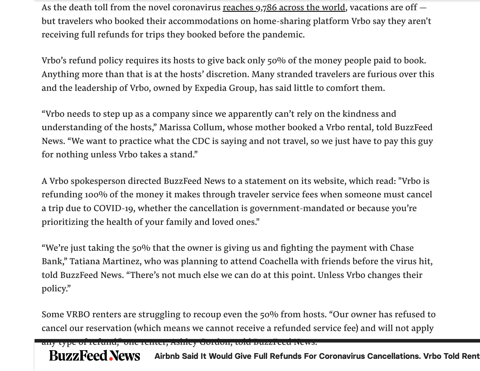As the death toll from the novel coronavirus [reaches](https://www.buzzfeednews.com/article/peteraldhous/coronavirus-updating-charts-maps) 9,786 across the world, vacations are off  $$ but travelers who booked their accommodations on home-sharing platform Vrbo say they aren't receiving full refunds for trips they booked before the pandemic.

Vrbo's refund policy requires its hosts to give back only 50% of the money people paid to book. Anything more than that is at the hosts' discretion. Many stranded travelers are furious over this and the leadership of Vrbo, owned by Expedia Group, has said little to comfort them.

"Vrbo needs to step up as a company since we apparently can't rely on the kindness and understanding of the hosts, " Marissa Collum, whose mother booked a Vrbo rental, told BuzzFeed News. "We want to practice what the CDC is saying and not travel, so we just have to pay this guy for nothing unless Vrbo takes a stand."

A Vrbo spokesperson directed BuzzFeed News to a statement on its website, which read: "Vrbo is refunding 100% of the money it makes through traveler service fees when someone must cancel a trip due to COVID-19, whether the cancellation is government-mandated or because you're prioritizing the health of your family and loved ones."

"We're just taking the 50% that the owner is giving us and fighting the payment with Chase Bank, " Tatiana Martinez, who was planning to attend Coachella with friends before the virus hit, told BuzzFeed News. "There's not much else we can do at this point. Unless Vrbo changes their policy."

Some VRBO renters are struggling to recoup even the 50% from hosts. "Our owner has refused to cancel our reservation (which means we cannot receive a refunded service fee) and will not apply

any type of refund," one renter, Ashley Gordon, told BuzzFeed News.

**BuzzFeed News** Airbnb Said It Would Give Full Refunds For Coronavirus Cancellations. Vrbo Told Rent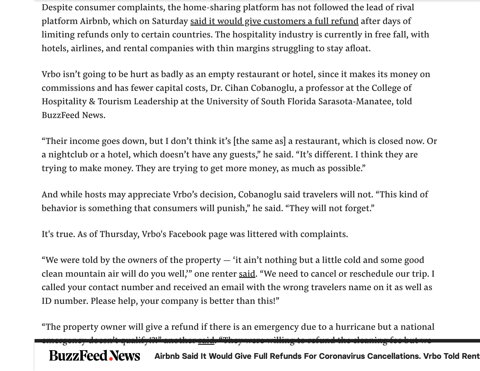Despite consumer complaints, the home-sharing platform has not followed the lead of rival platform Airbnb, which on Saturday said it would give [customers](https://twitter.com/bchesky/status/1238923242246524928) a full refund after days of limiting refunds only to certain countries. The hospitality industry is currently in free fall, with hotels, airlines, and rental companies with thin margins struggling to stay afloat.

Vrbo isn't going to be hurt as badly as an empty restaurant or hotel, since it makes its money on commissions and has fewer capital costs, Dr. Cihan Cobanoglu, a professor at the College of Hospitality & Tourism Leadership at the University of South Florida Sarasota-Manatee, told BuzzFeed News.

"Their income goes down, but I don't think it's [the same as] a restaurant, which is closed now. Or a nightclub or a hotel, which doesn't have any guests, " he said. "It's different. I think they are trying to make money. They are trying to get more money, as much as possible."

And while hosts may appreciate Vrbo's decision, Cobanoglu said travelers will not. "This kind of behavior is something that consumers will punish, " he said. "They will not forget."

It's true. As of Thursday, Vrbo's Facebook page was littered with complaints.

"We were told by the owners of the property  $-$  'it ain't nothing but a little cold and some good clean mountain air will do you well," one renter <u>said</u>. "We need to cancel or reschedule our trip. I called your contact number and received an email with the wrong travelers name on it as well as ID number. Please help, your company is better than this!"

"The property owner will give a refund if there is an emergency due to a hurricane but a national  $\frac{1}{2}$  and  $\frac{1}{2}$  and  $\frac{1}{2}$  (1) and  $\frac{1}{2}$  (1) and  $\frac{1}{2}$  (milling to refund the cleaning fee but we **BuzzFeed News** Airbnb Said It Would Give Full Refunds For Coronavirus Cancellations. Vrbo Told Rent